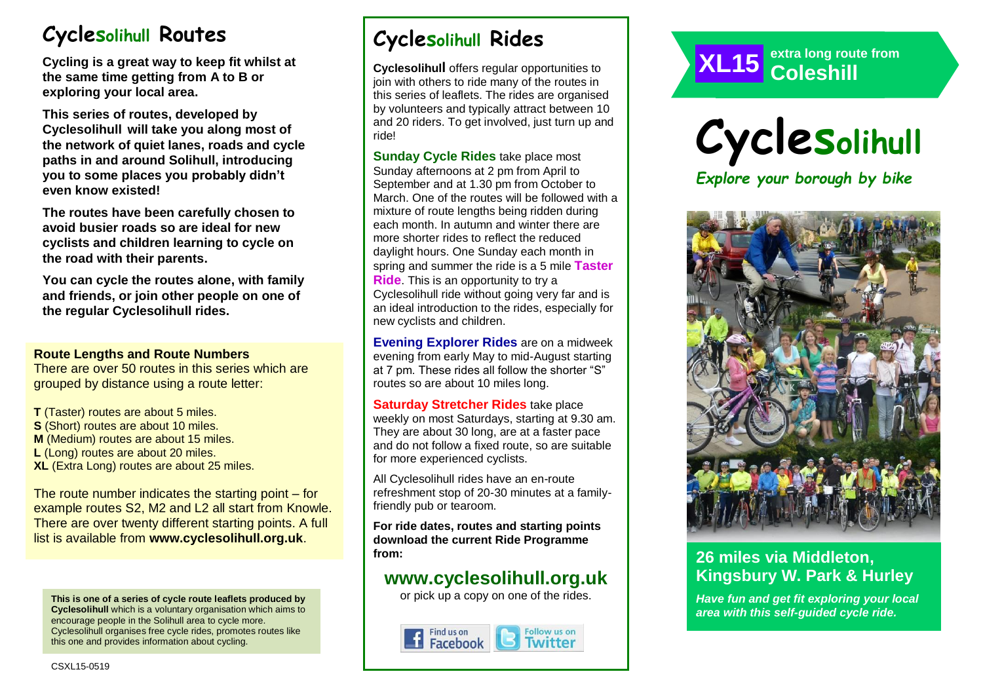# **Cyclesolihull Routes**

**Cycling is a great way to keep fit whilst at the same time getting from A to B or exploring your local area.** 

**This series of routes, developed by Cyclesolihull will take you along most of the network of quiet lanes, roads and cycle paths in and around Solihull, introducing you to some places you probably didn't even know existed!**

**The routes have been carefully chosen to avoid busier roads so are ideal for new cyclists and children learning to cycle on the road with their parents.** 

**You can cycle the routes alone, with family and friends, or join other people on one of the regular Cyclesolihull rides.**

#### **Route Lengths and Route Numbers**

There are over 50 routes in this series which are grouped by distance using a route letter:

**T** (Taster) routes are about 5 miles. **S** (Short) routes are about 10 miles. **M** (Medium) routes are about 15 miles. **L** (Long) routes are about 20 miles. **XL** (Extra Long) routes are about 25 miles.

The route number indicates the starting point – for example routes S2, M2 and L2 all start from Knowle. There are over twenty different starting points. A full list is available from **www.cyclesolihull.org.uk**.

**This is one of a series of cycle route leaflets produced by Cyclesolihull** which is a voluntary organisation which aims to encourage people in the Solihull area to cycle more. Cyclesolihull organises free cycle rides, promotes routes like this one and provides information about cycling.

# **Cyclesolihull Rides**

**Cyclesolihull** offers regular opportunities to join with others to ride many of the routes in this series of leaflets. The rides are organised by volunteers and typically attract between 10 and 20 riders. To get involved, just turn up and ride!

**Sunday Cycle Rides** take place most Sunday afternoons at 2 pm from April to September and at 1.30 pm from October to March. One of the routes will be followed with a mixture of route lengths being ridden during each month. In autumn and winter there are more shorter rides to reflect the reduced daylight hours. One Sunday each month in spring and summer the ride is a 5 mile **Taster Ride**. This is an opportunity to try a Cyclesolihull ride without going very far and is an ideal introduction to the rides, especially for new cyclists and children.

**Evening Explorer Rides** are on a midweek evening from early May to mid-August starting at 7 pm. These rides all follow the shorter "S" routes so are about 10 miles long.

**Saturday Stretcher Rides** take place weekly on most Saturdays, starting at 9.30 am. They are about 30 long, are at a faster pace and do not follow a fixed route, so are suitable for more experienced cyclists.

All Cyclesolihull rides have an en-route refreshment stop of 20-30 minutes at a familyfriendly pub or tearoom.

**For ride dates, routes and starting points download the current Ride Programme from:** 

## **www.cyclesolihull.org.uk**

or pick up a copy on one of the rides.









## **26 miles via Middleton, Kingsbury W. Park & Hurley**

*Have fun and get fit exploring your local area with this self-guided cycle ride.*